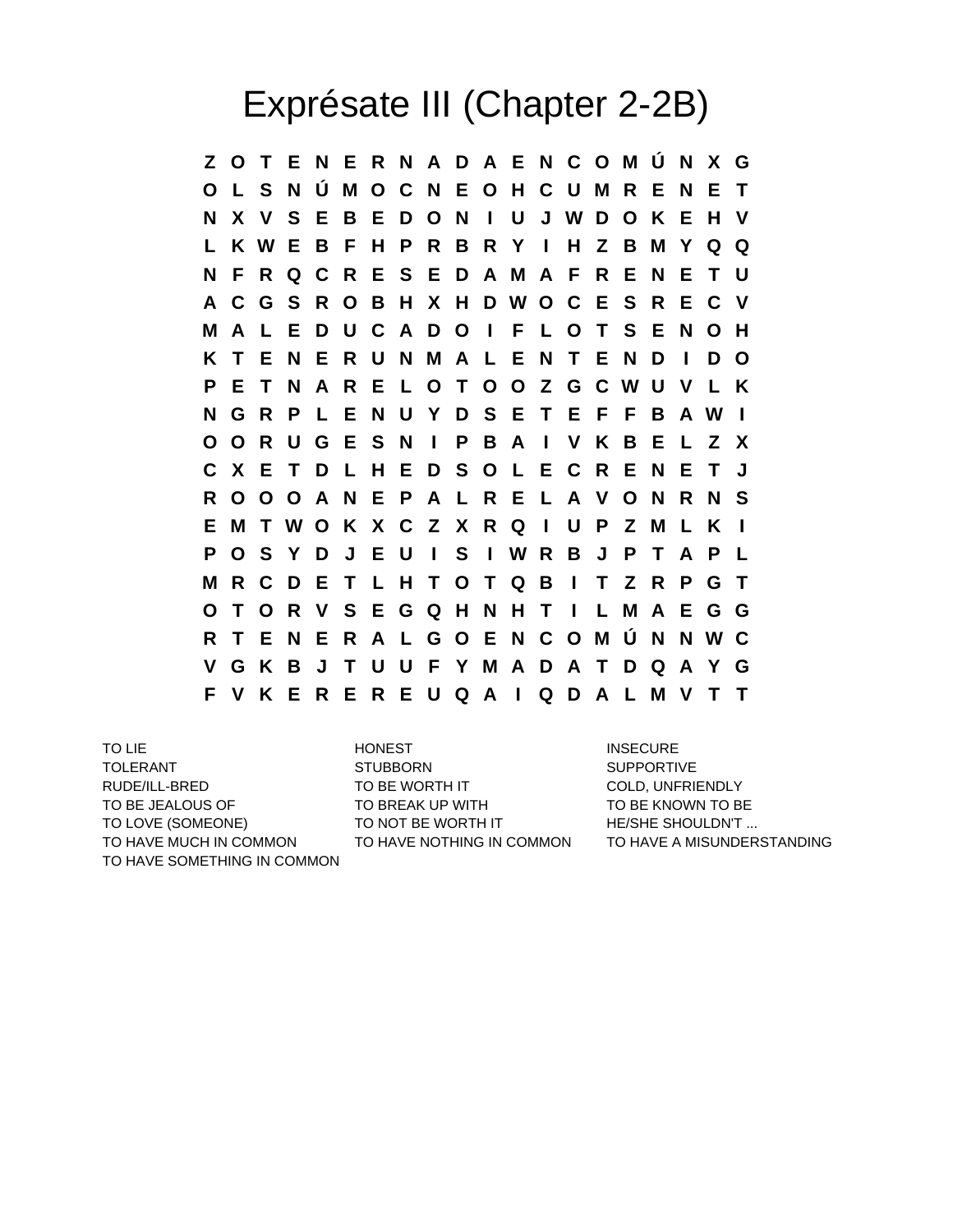## Exprésate III (Chapter 2-2B)

**Z O T E N E R N A D A E N C O M Ú N X G O L S N Ú M O C N E O H C U M R E N E T N X V S E B E D O N I U J W D O K E H V L K W E B F H P R B R Y I H Z B M Y Q Q N F R Q C R E S E D A M A F R E N E T U A C G S R O B H X H D W O C E S R E C V M A L E D U C A D O I F L O T S E N O H K T E N E R U N M A L E N T E N D I D O P E T N A R E L O T O O Z G C W U V L K N G R P L E N U Y D S E T E F F B A W I O O R U G E S N I P B A I V K B E L Z X C X E T D L H E D S O L E C R E N E T J R O O O A N E P A L R E L A V O N R N S E M T W O K X C Z X R Q I U P Z M L K I P O S Y D J E U I S I W R B J P T A P L M R C D E T L H T O T Q B I T Z R P G T O T O R V S E G Q H N H T I L M A E G G R T E N E R A L G O E N C O M Ú N N W C V G K B J T U U F Y M A D A T D Q A Y G F V K E R E R E U Q A I Q D A L M V T T**

TO LIE **INSECURE** HONEST **INSECURE** TOLERANT STUBBORN SUPPORTIVE RUDE/ILL-BRED TO BE WORTH IT COLD, UNFRIENDLY TO BE JEALOUS OF TO BREAK UP WITH TO BE KNOWN TO BE TO LOVE (SOMEONE) TO NOT BE WORTH IT THE/SHE SHOULDN'T ... TO HAVE MUCH IN COMMON TO HAVE NOTHING IN COMMON TO HAVE A MISUNDERSTANDING TO HAVE SOMETHING IN COMMON